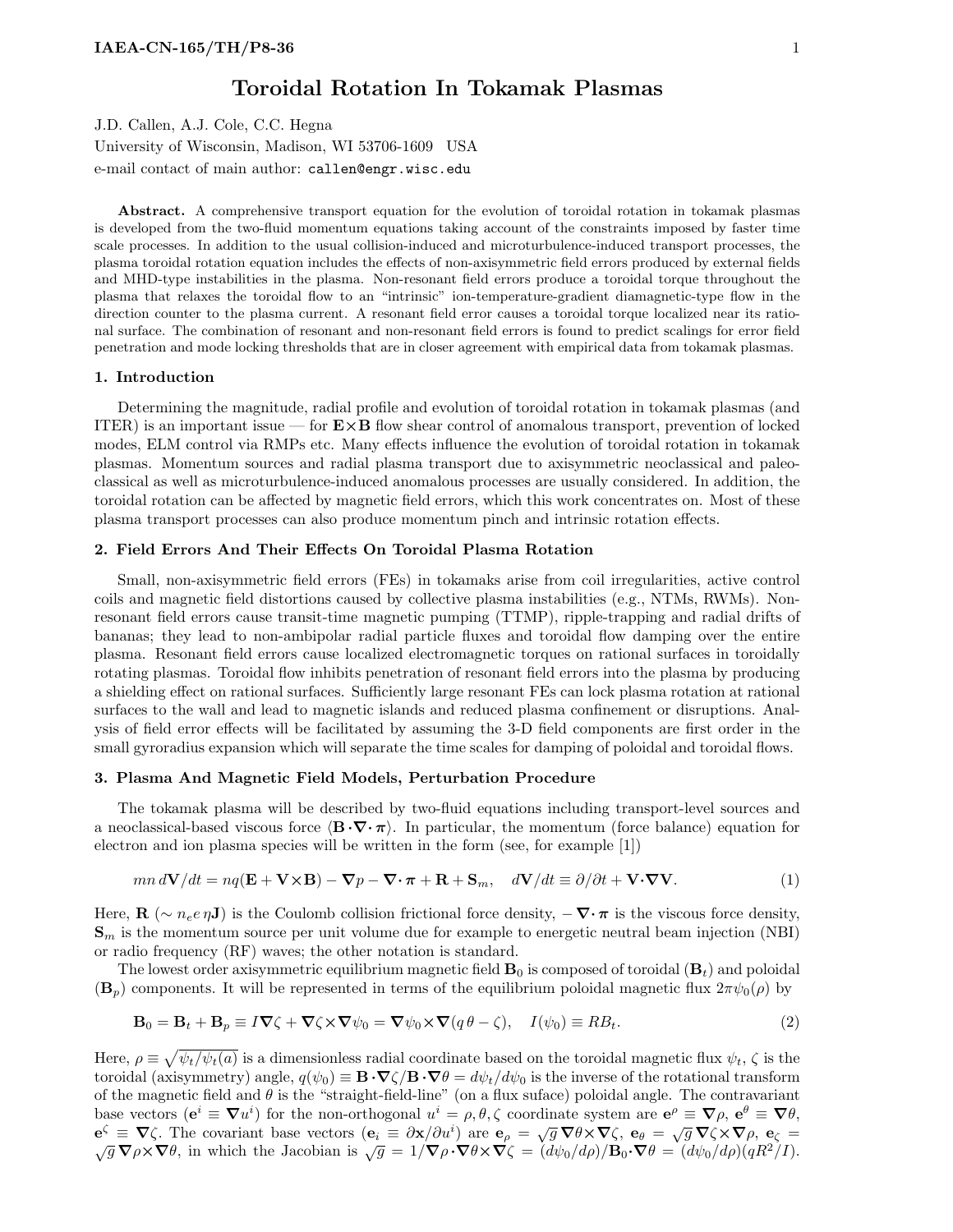# Toroidal Rotation In Tokamak Plasmas

J.D. Callen, A.J. Cole, C.C. Hegna

University of Wisconsin, Madison, WI 53706-1609 USA e-mail contact of main author: callen@engr.wisc.edu

Abstract. A comprehensive transport equation for the evolution of toroidal rotation in tokamak plasmas is developed from the two-fluid momentum equations taking account of the constraints imposed by faster time scale processes. In addition to the usual collision-induced and microturbulence-induced transport processes, the plasma toroidal rotation equation includes the effects of non-axisymmetric field errors produced by external fields and MHD-type instabilities in the plasma. Non-resonant field errors produce a toroidal torque throughout the plasma that relaxes the toroidal flow to an "intrinsic" ion-temperature-gradient diamagnetic-type flow in the direction counter to the plasma current. A resonant field error causes a toroidal torque localized near its rational surface. The combination of resonant and non-resonant field errors is found to predict scalings for error field penetration and mode locking thresholds that are in closer agreement with empirical data from tokamak plasmas.

#### 1. Introduction

Determining the magnitude, radial profile and evolution of toroidal rotation in tokamak plasmas (and ITER) is an important issue — for  $E \times B$  flow shear control of anomalous transport, prevention of locked modes, ELM control via RMPs etc. Many effects influence the evolution of toroidal rotation in tokamak plasmas. Momentum sources and radial plasma transport due to axisymmetric neoclassical and paleoclassical as well as microturbulence-induced anomalous processes are usually considered. In addition, the toroidal rotation can be affected by magnetic field errors, which this work concentrates on. Most of these plasma transport processes can also produce momentum pinch and intrinsic rotation effects.

#### 2. Field Errors And Their Effects On Toroidal Plasma Rotation

Small, non-axisymmetric field errors (FEs) in tokamaks arise from coil irregularities, active control coils and magnetic field distortions caused by collective plasma instabilities (e.g., NTMs, RWMs). Nonresonant field errors cause transit-time magnetic pumping (TTMP), ripple-trapping and radial drifts of bananas; they lead to non-ambipolar radial particle fluxes and toroidal flow damping over the entire plasma. Resonant field errors cause localized electromagnetic torques on rational surfaces in toroidally rotating plasmas. Toroidal flow inhibits penetration of resonant field errors into the plasma by producing a shielding effect on rational surfaces. Sufficiently large resonant FEs can lock plasma rotation at rational surfaces to the wall and lead to magnetic islands and reduced plasma confinement or disruptions. Analysis of field error effects will be facilitated by assuming the 3-D field components are first order in the small gyroradius expansion which will separate the time scales for damping of poloidal and toroidal flows.

#### 3. Plasma And Magnetic Field Models, Perturbation Procedure

The tokamak plasma will be described by two-fluid equations including transport-level sources and a neoclassical-based viscous force  $\langle \mathbf{B} \cdot \nabla \cdot \pi \rangle$ . In particular, the momentum (force balance) equation for electron and ion plasma species will be written in the form (see, for example [1])

$$
mn\,d\mathbf{V}/dt = nq(\mathbf{E} + \mathbf{V}\times\mathbf{B}) - \nabla p - \nabla \cdot \boldsymbol{\pi} + \mathbf{R} + \mathbf{S}_m, \quad d\mathbf{V}/dt \equiv \partial/\partial t + \mathbf{V}\cdot\nabla\mathbf{V}.
$$
 (1)

Here,  $\mathbf{R}$  (~  $n_e e \eta \mathbf{J}$ ) is the Coulomb collision frictional force density,  $-\nabla \cdot \pi$  is the viscous force density,  $\mathbf{S}_m$  is the momentum source per unit volume due for example to energetic neutral beam injection (NBI) or radio frequency (RF) waves; the other notation is standard.

The lowest order axisymmetric equilibrium magnetic field  $\mathbf{B}_0$  is composed of toroidal  $(\mathbf{B}_t)$  and poloidal  $(\mathbf{B}_p)$  components. It will be represented in terms of the equilibrium poloidal magnetic flux  $2\pi\psi_0(\rho)$  by

$$
\mathbf{B}_0 = \mathbf{B}_t + \mathbf{B}_p \equiv I \nabla \zeta + \nabla \zeta \times \nabla \psi_0 = \nabla \psi_0 \times \nabla (q \theta - \zeta), \quad I(\psi_0) \equiv R B_t.
$$
 (2)

Here,  $\rho \equiv \sqrt{\psi_t/\psi_t(a)}$  is a dimensionless radial coordinate based on the toroidal magnetic flux  $\psi_t$ ,  $\zeta$  is the toroidal (axisymmetry) angle,  $q(\psi_0) \equiv \mathbf{B} \cdot \nabla \zeta / \mathbf{B} \cdot \nabla \theta = d\psi_t / d\psi_0$  is the inverse of the rotational transform of the magnetic field and  $\theta$  is the "straight-field-line" (on a flux suface) poloidal angle. The contravariant base vectors  $(e^i \equiv \nabla u^i)$  for the non-orthogonal  $u^i = \rho, \theta, \zeta$  coordinate system are  $e^{\rho} \equiv \nabla \rho, e^{\theta} \equiv \nabla \theta,$ base vectors (e = v *u*) for the non-orthogonal  $u = p, v$ , coordinate system are e = v  $p, e = v v$ ,<br>  $e^{\zeta} = \nabla \zeta$ . The covariant base vectors ( $e_i \equiv \partial x/\partial u^i$ ) are  $e_p = \sqrt{g} \nabla \theta \times \nabla \zeta$ ,  $e_{\theta} = \sqrt{g} \nabla \zeta \times \nabla \rho$ ,  $e$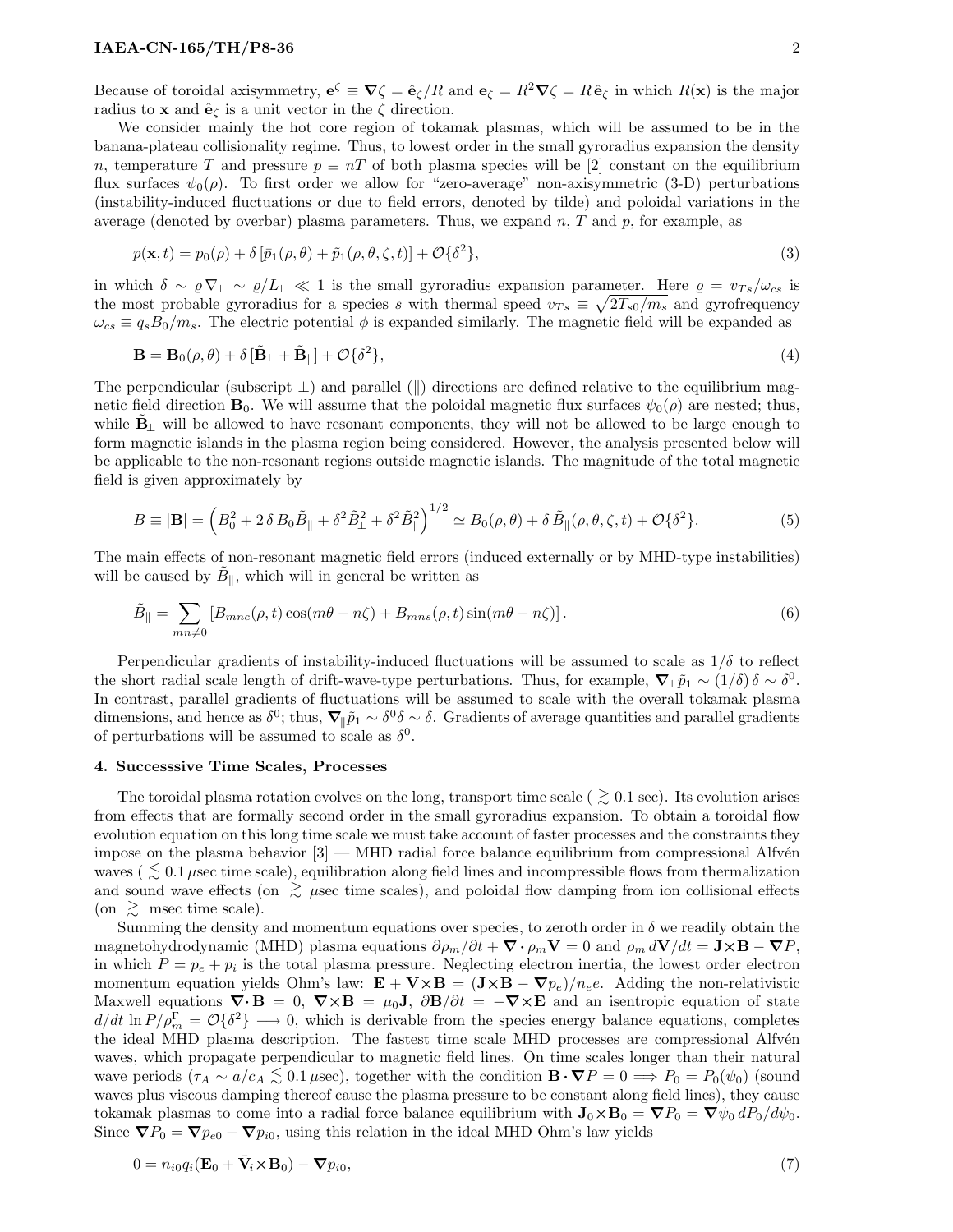Because of toroidal axisymmetry,  $e^{\zeta} \equiv \nabla \zeta = \hat{e}_{\zeta}/R$  and  $e_{\zeta} = R^2 \nabla \zeta = R \hat{e}_{\zeta}$  in which  $R(\mathbf{x})$  is the major radius to **x** and  $\hat{\mathbf{e}}_{\zeta}$  is a unit vector in the  $\zeta$  direction.

We consider mainly the hot core region of tokamak plasmas, which will be assumed to be in the banana-plateau collisionality regime. Thus, to lowest order in the small gyroradius expansion the density n, temperature T and pressure  $p \equiv nT$  of both plasma species will be [2] constant on the equilibrium flux surfaces  $\psi_0(\rho)$ . To first order we allow for "zero-average" non-axisymmetric (3-D) perturbations (instability-induced fluctuations or due to field errors, denoted by tilde) and poloidal variations in the average (denoted by overbar) plasma parameters. Thus, we expand n, T and p, for example, as

$$
p(\mathbf{x},t) = p_0(\rho) + \delta \left[ \bar{p}_1(\rho,\theta) + \tilde{p}_1(\rho,\theta,\zeta,t) \right] + \mathcal{O}\{\delta^2\},\tag{3}
$$

in which  $\delta \sim \varrho \nabla_{\perp} \sim \varrho/L_{\perp} \ll 1$  is the small gyroradius expansion parameter. Here  $\varrho = v_{Ts}/\omega_{cs}$  is the most probable gyroradius for a species s with thermal speed  $v_{Ts} \equiv \sqrt{2T_{s0}/m_s}$  and gyrofrequency  $\omega_{cs} \equiv q_s B_0/m_s$ . The electric potential  $\phi$  is expanded similarly. The magnetic field will be expanded as

$$
\mathbf{B} = \mathbf{B}_0(\rho, \theta) + \delta \left[ \tilde{\mathbf{B}}_{\perp} + \tilde{\mathbf{B}}_{\parallel} \right] + \mathcal{O} \{ \delta^2 \},\tag{4}
$$

The perpendicular (subscript  $\perp$ ) and parallel (||) directions are defined relative to the equilibrium magnetic field direction  $\mathbf{B}_0$ . We will assume that the poloidal magnetic flux surfaces  $\psi_0(\rho)$  are nested; thus, while  $B_{\perp}$  will be allowed to have resonant components, they will not be allowed to be large enough to form magnetic islands in the plasma region being considered. However, the analysis presented below will be applicable to the non-resonant regions outside magnetic islands. The magnitude of the total magnetic field is given approximately by

$$
B \equiv |\mathbf{B}| = \left( B_0^2 + 2 \delta B_0 \tilde{B}_{\parallel} + \delta^2 \tilde{B}_{\perp}^2 + \delta^2 \tilde{B}_{\parallel}^2 \right)^{1/2} \simeq B_0(\rho, \theta) + \delta \tilde{B}_{\parallel}(\rho, \theta, \zeta, t) + \mathcal{O}\{\delta^2\}.
$$
 (5)

The main effects of non-resonant magnetic field errors (induced externally or by MHD-type instabilities) will be caused by  $\tilde{B}_{\parallel}$ , which will in general be written as

$$
\tilde{B}_{\parallel} = \sum_{mn \neq 0} \left[ B_{mnc}(\rho, t) \cos(m\theta - n\zeta) + B_{mns}(\rho, t) \sin(m\theta - n\zeta) \right]. \tag{6}
$$

Perpendicular gradients of instability-induced fluctuations will be assumed to scale as  $1/\delta$  to reflect the short radial scale length of drift-wave-type perturbations. Thus, for example,  $\nabla_{\perp} \tilde{p}_1 \sim (1/\delta) \delta \sim \delta^0$ . In contrast, parallel gradients of fluctuations will be assumed to scale with the overall tokamak plasma dimensions, and hence as  $\delta^0$ ; thus,  $\nabla_{\parallel} \tilde{p}_1 \sim \delta^0 \delta \sim \delta$ . Gradients of average quantities and parallel gradients of perturbations will be assumed to scale as  $\delta^0$ .

#### 4. Successsive Time Scales, Processes

The toroidal plasma rotation evolves on the long, transport time scale ( $\geq 0.1$  sec). Its evolution arises from effects that are formally second order in the small gyroradius expansion. To obtain a toroidal flow evolution equation on this long time scale we must take account of faster processes and the constraints they impose on the plasma behavior  $[3]$  — MHD radial force balance equilibrium from compressional Alfvén waves ( $\lesssim 0.1$  µsec time scale), equilibration along field lines and incompressible flows from thermalization and sound wave effects (on  $\gtrsim \mu$ sec time scales), and poloidal flow damping from ion collisional effects (on  $\geq$  msec time scale).

Summing the density and momentum equations over species, to zeroth order in  $\delta$  we readily obtain the magnetohydrodynamic (MHD) plasma equations  $\partial \rho_m / \partial t + \nabla \cdot \rho_m \mathbf{V} = 0$  and  $\rho_m d\mathbf{V}/dt = \mathbf{J} \times \mathbf{B} - \nabla P$ , in which  $P = p_e + p_i$  is the total plasma pressure. Neglecting electron inertia, the lowest order electron momentum equation yields Ohm's law:  $\mathbf{E} + \mathbf{V} \times \mathbf{B} = (\mathbf{J} \times \mathbf{B} - \nabla p_e)/n_e e$ . Adding the non-relativistic Maxwell equations  $\nabla \cdot \mathbf{B} = 0$ ,  $\nabla \times \mathbf{B} = \mu_0 \mathbf{J}$ ,  $\partial \mathbf{B}/\partial t = -\nabla \times \mathbf{E}$  and an isentropic equation of state  $d/dt \ln P/\rho_m^{\Gamma} = \mathcal{O}\{\delta^2\} \longrightarrow 0$ , which is derivable from the species energy balance equations, completes the ideal MHD plasma description. The fastest time scale MHD processes are compressional Alfvén waves, which propagate perpendicular to magnetic field lines. On time scales longer than their natural wave periods  $(\tau_A \sim a/c_A \lesssim 0.1 \,\mu \text{sec})$ , together with the condition  $\mathbf{B} \cdot \nabla P = 0 \Longrightarrow P_0 = P_0(\psi_0)$  (sound waves plus viscous damping thereof cause the plasma pressure to be constant along field lines), they cause tokamak plasmas to come into a radial force balance equilibrium with  $J_0 \times B_0 = \nabla P_0 = \nabla \psi_0 dP_0/d\psi_0$ . Since  $\nabla P_0 = \nabla p_{e0} + \nabla p_{i0}$ , using this relation in the ideal MHD Ohm's law yields

$$
0 = n_{i0}q_i(\mathbf{E}_0 + \bar{\mathbf{V}}_i \times \mathbf{B}_0) - \nabla p_{i0},\tag{7}
$$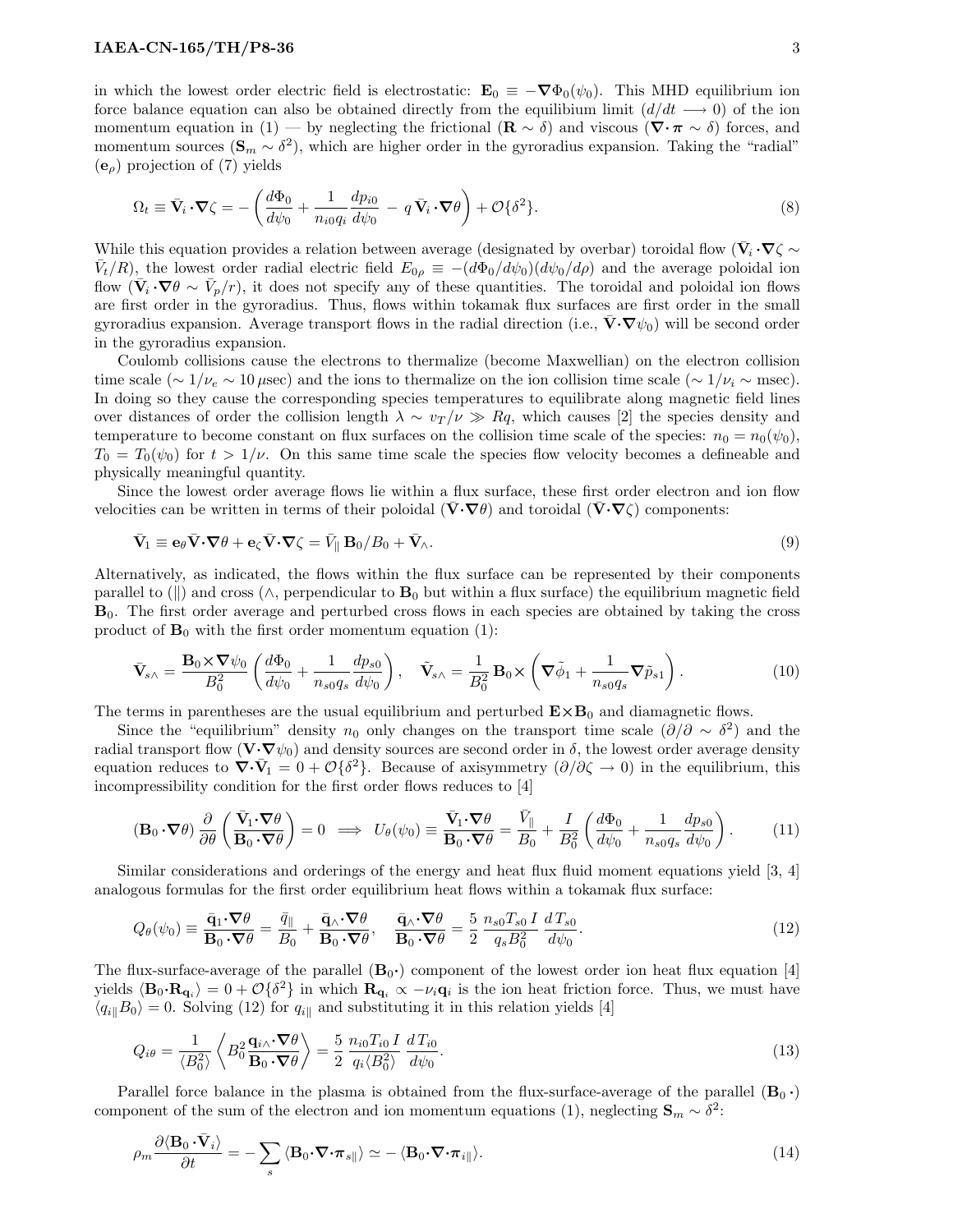in which the lowest order electric field is electrostatic:  $\mathbf{E}_0 \equiv -\nabla \Phi_0(\psi_0)$ . This MHD equilibrium ion force balance equation can also be obtained directly from the equilibium limit  $(d/dt \rightarrow 0)$  of the ion momentum equation in (1) — by neglecting the frictional ( $\mathbf{R} \sim \delta$ ) and viscous ( $\nabla \cdot \pi \sim \delta$ ) forces, and momentum sources  $(\mathbf{S}_m \sim \delta^2)$ , which are higher order in the gyroradius expansion. Taking the "radial"  $(e_{\alpha})$  projection of (7) yields

$$
\Omega_t \equiv \bar{\mathbf{V}}_i \cdot \nabla \zeta = -\left(\frac{d\Phi_0}{d\psi_0} + \frac{1}{n_{i0}q_i} \frac{dp_{i0}}{d\psi_0} - q \bar{\mathbf{V}}_i \cdot \nabla \theta\right) + \mathcal{O}\{\delta^2\}.
$$
\n(8)

While this equation provides a relation between average (designated by overbar) toroidal flow ( $\bar{V}_i \cdot \nabla \zeta \sim$  $\bar{V}_t/R$ , the lowest order radial electric field  $E_{0\rho} \equiv -(d\Phi_0/d\psi_0)(d\psi_0/d\rho)$  and the average poloidal ion flow  $(\bar{\mathbf{V}}_i \cdot \nabla \theta \sim \bar{V}_p/r)$ , it does not specify any of these quantities. The toroidal and poloidal ion flows are first order in the gyroradius. Thus, flows within tokamak flux surfaces are first order in the small gyroradius expansion. Average transport flows in the radial direction (i.e.,  $\mathbf{V} \cdot \nabla \psi_0$ ) will be second order in the gyroradius expansion.

Coulomb collisions cause the electrons to thermalize (become Maxwellian) on the electron collision time scale (∼  $1/\nu_e \sim 10 \,\mu$ sec) and the ions to thermalize on the ion collision time scale (∼  $1/\nu_i \sim$  msec). In doing so they cause the corresponding species temperatures to equilibrate along magnetic field lines over distances of order the collision length  $\lambda \sim v_T/\nu \gg Rq$ , which causes [2] the species density and temperature to become constant on flux surfaces on the collision time scale of the species:  $n_0 = n_0(\psi_0)$ ,  $T_0 = T_0(\psi_0)$  for  $t > 1/\nu$ . On this same time scale the species flow velocity becomes a defineable and physically meaningful quantity.

Since the lowest order average flows lie within a flux surface, these first order electron and ion flow velocities can be written in terms of their poloidal  $(\bar{\mathbf{V}}\cdot\mathbf{\nabla}\theta)$  and toroidal  $(\bar{\mathbf{V}}\cdot\mathbf{\nabla}\zeta)$  components:

$$
\bar{\mathbf{V}}_1 \equiv \mathbf{e}_{\theta} \bar{\mathbf{V}} \cdot \nabla \theta + \mathbf{e}_{\zeta} \bar{\mathbf{V}} \cdot \nabla \zeta = \bar{V}_{\parallel} \mathbf{B}_0 / B_0 + \bar{\mathbf{V}}_{\wedge}.
$$
\n(9)

Alternatively, as indicated, the flows within the flux surface can be represented by their components parallel to (||) and cross ( $\wedge$ , perpendicular to  $B_0$  but within a flux surface) the equilibrium magnetic field B0. The first order average and perturbed cross flows in each species are obtained by taking the cross product of  $\mathbf{B}_0$  with the first order momentum equation (1):

$$
\bar{\mathbf{V}}_{s\wedge} = \frac{\mathbf{B}_0 \times \nabla \psi_0}{B_0^2} \left( \frac{d\Phi_0}{d\psi_0} + \frac{1}{n_{s0}q_s} \frac{dp_{s0}}{d\psi_0} \right), \quad \tilde{\mathbf{V}}_{s\wedge} = \frac{1}{B_0^2} \mathbf{B}_0 \times \left( \nabla \tilde{\phi}_1 + \frac{1}{n_{s0}q_s} \nabla \tilde{p}_{s1} \right). \tag{10}
$$

The terms in parentheses are the usual equilibrium and perturbed  $E \times B_0$  and diamagnetic flows.

Since the "equilibrium" density  $n_0$  only changes on the transport time scale  $(\partial/\partial \sim \delta^2)$  and the radial transport flow  $(\mathbf{V} \cdot \nabla \psi_0)$  and density sources are second order in  $\delta$ , the lowest order average density equation reduces to  $\nabla \cdot \bar{V}_1 = 0 + \mathcal{O}\{\delta^2\}$ . Because of axisymmetry  $(\partial/\partial \zeta \to 0)$  in the equilibrium, this incompressibility condition for the first order flows reduces to [4]

$$
\left(\mathbf{B}_0 \cdot \nabla \theta\right) \frac{\partial}{\partial \theta} \left(\frac{\bar{\mathbf{V}}_1 \cdot \nabla \theta}{\mathbf{B}_0 \cdot \nabla \theta}\right) = 0 \implies U_{\theta}(\psi_0) \equiv \frac{\bar{\mathbf{V}}_1 \cdot \nabla \theta}{\mathbf{B}_0 \cdot \nabla \theta} = \frac{\bar{V}_{\parallel}}{B_0} + \frac{I}{B_0^2} \left(\frac{d\Phi_0}{d\psi_0} + \frac{1}{n_{s0}q_s} \frac{dp_{s0}}{d\psi_0}\right). \tag{11}
$$

Similar considerations and orderings of the energy and heat flux fluid moment equations yield [3, 4] analogous formulas for the first order equilibrium heat flows within a tokamak flux surface:

$$
Q_{\theta}(\psi_0) \equiv \frac{\bar{\mathbf{q}}_1 \cdot \nabla \theta}{\mathbf{B}_0 \cdot \nabla \theta} = \frac{\bar{q}_{\parallel}}{B_0} + \frac{\bar{\mathbf{q}} \wedge \nabla \theta}{\mathbf{B}_0 \cdot \nabla \theta}, \quad \frac{\bar{\mathbf{q}} \wedge \nabla \theta}{\mathbf{B}_0 \cdot \nabla \theta} = \frac{5}{2} \frac{n_{s0} T_{s0} I}{q_s B_0^2} \frac{d T_{s0}}{d \psi_0}.
$$
 (12)

The flux-surface-average of the parallel  $(\mathbf{B}_0 \cdot)$  component of the lowest order ion heat flux equation [4] yields  $\langle \mathbf{B}_0 \cdot \mathbf{R}_{\mathbf{q}_i} \rangle = 0 + \mathcal{O}\{\delta^2\}$  in which  $\mathbf{R}_{\mathbf{q}_i} \propto -\nu_i \mathbf{q}_i$  is the ion heat friction force. Thus, we must have  $\langle q_{i} | B_{0} \rangle = 0$ . Solving (12) for  $q_{i}$  and substituting it in this relation yields [4]

$$
Q_{i\theta} = \frac{1}{\langle B_0^2 \rangle} \left\langle B_0^2 \frac{\mathbf{q}_{i\wedge} \cdot \nabla \theta}{\mathbf{B}_0 \cdot \nabla \theta} \right\rangle = \frac{5}{2} \frac{n_{i0} T_{i0} I}{q_i \langle B_0^2 \rangle} \frac{d T_{i0}}{d \psi_0}.
$$
\n(13)

Parallel force balance in the plasma is obtained from the flux-surface-average of the parallel  $(B_0 \cdot)$ component of the sum of the electron and ion momentum equations (1), neglecting  $\mathbf{S}_m \sim \delta^2$ :

$$
\rho_m \frac{\partial \langle \mathbf{B}_0 \cdot \bar{\mathbf{V}}_i \rangle}{\partial t} = -\sum_s \langle \mathbf{B}_0 \cdot \nabla \cdot \pi_{s||} \rangle \simeq -\langle \mathbf{B}_0 \cdot \nabla \cdot \pi_{i||} \rangle. \tag{14}
$$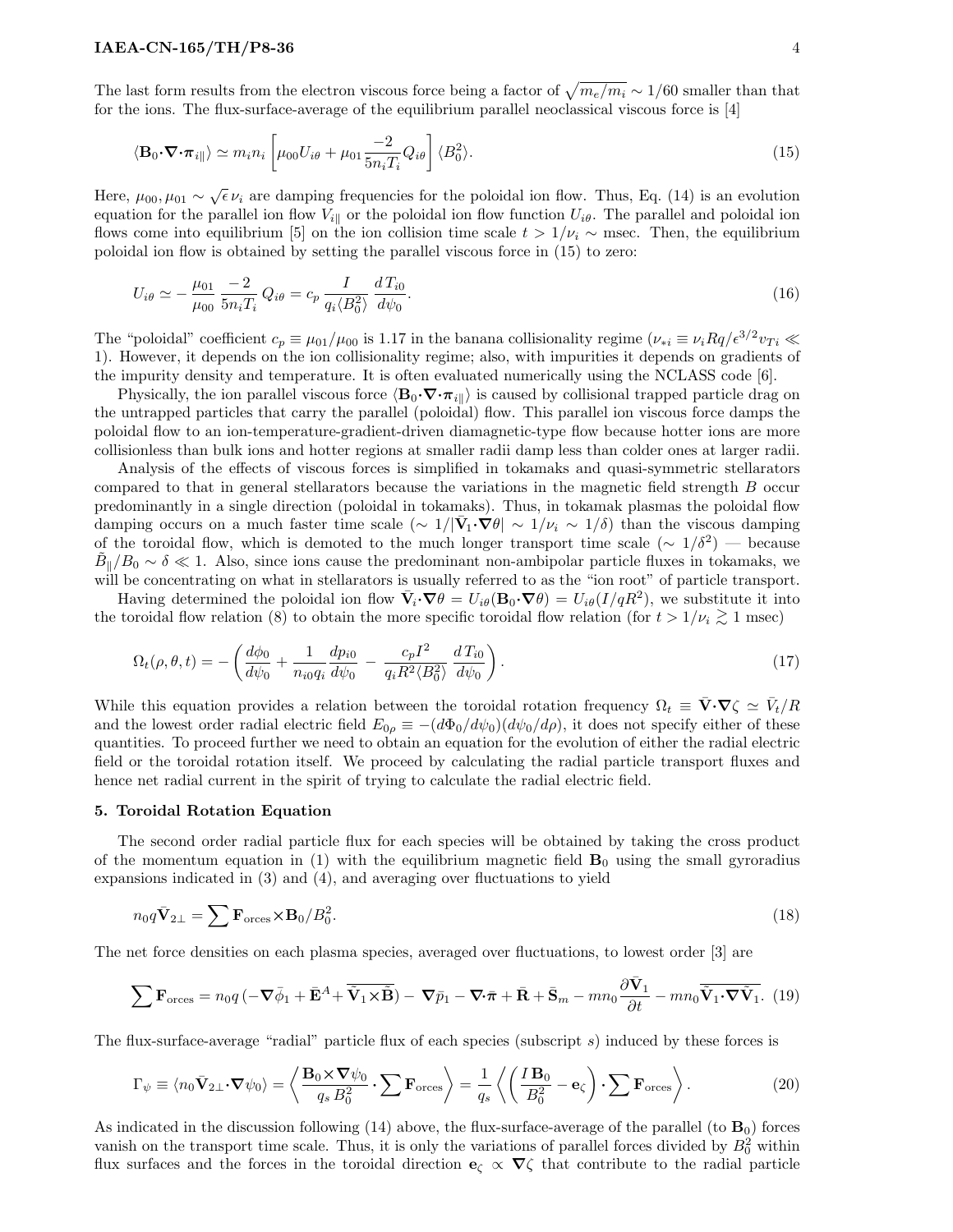The last form results from the electron viscous force being a factor of  $\sqrt{m_e/m_i} \sim 1/60$  smaller than that for the ions. The flux-surface-average of the equilibrium parallel neoclassical viscous force is [4]

$$
\langle \mathbf{B}_0 \cdot \nabla \cdot \boldsymbol{\pi}_{i} | \rangle \simeq m_i n_i \left[ \mu_{00} U_{i\theta} + \mu_{01} \frac{-2}{5 n_i T_i} Q_{i\theta} \right] \langle B_0^2 \rangle. \tag{15}
$$

Here,  $\mu_{00}, \mu_{01} \sim \sqrt{\epsilon} \nu_i$  are damping frequencies for the poloidal ion flow. Thus, Eq. (14) is an evolution equation for the parallel ion flow  $V_{i\parallel}$  or the poloidal ion flow function  $U_{i\theta}$ . The parallel and poloidal ion flows come into equilibrium [5] on the ion collision time scale  $t > 1/\nu_i \sim$  msec. Then, the equilibrium poloidal ion flow is obtained by setting the parallel viscous force in (15) to zero:

$$
U_{i\theta} \simeq -\frac{\mu_{01}}{\mu_{00}} \frac{-2}{5n_i T_i} Q_{i\theta} = c_p \frac{I}{q_i \langle B_0^2 \rangle} \frac{d T_{i0}}{d \psi_0}.
$$
\n(16)

The "poloidal" coefficient  $c_p \equiv \mu_{01}/\mu_{00}$  is 1.17 in the banana collisionality regime  $(\nu_{*i} \equiv \nu_i Rq/\epsilon^{3/2} v_{Ti} \ll$ 1). However, it depends on the ion collisionality regime; also, with impurities it depends on gradients of the impurity density and temperature. It is often evaluated numerically using the NCLASS code [6].

Physically, the ion parallel viscous force  $\langle \mathbf{B}_0 \cdot \nabla \cdot \pi_{i\parallel} \rangle$  is caused by collisional trapped particle drag on the untrapped particles that carry the parallel (poloidal) flow. This parallel ion viscous force damps the poloidal flow to an ion-temperature-gradient-driven diamagnetic-type flow because hotter ions are more collisionless than bulk ions and hotter regions at smaller radii damp less than colder ones at larger radii.

Analysis of the effects of viscous forces is simplified in tokamaks and quasi-symmetric stellarators compared to that in general stellarators because the variations in the magnetic field strength B occur predominantly in a single direction (poloidal in tokamaks). Thus, in tokamak plasmas the poloidal flow damping occurs on a much faster time scale  $\left(\sim 1/|\bar{V}_1 \cdot \nabla \theta| \sim 1/\nu_i \sim 1/\delta\right)$  than the viscous damping of the toroidal flow, which is demoted to the much longer transport time scale  $(\sim 1/\delta^2)$  — because  $\tilde{B}_{\parallel}/B_0 \sim \delta \ll 1$ . Also, since ions cause the predominant non-ambipolar particle fluxes in tokamaks, we will be concentrating on what in stellarators is usually referred to as the "ion root" of particle transport.

Having determined the poloidal ion flow  $\bar{\mathbf{V}}_i \cdot \nabla \theta = U_{i\theta}(\mathbf{B}_0 \cdot \nabla \theta) = U_{i\theta}(I/qR^2)$ , we substitute it into the toroidal flow relation (8) to obtain the more specific toroidal flow relation (for  $t > 1/\nu_i \gtrsim 1$  msec)

$$
\Omega_t(\rho, \theta, t) = -\left(\frac{d\phi_0}{d\psi_0} + \frac{1}{n_{i0}q_i}\frac{dp_{i0}}{d\psi_0} - \frac{c_pI^2}{q_iR^2\langle B_0^2\rangle}\frac{dT_{i0}}{d\psi_0}\right).
$$
\n(17)

While this equation provides a relation between the toroidal rotation frequency  $\Omega_t \equiv \bar{\mathbf{V}} \cdot \nabla \zeta \simeq \bar{V}_t / R$ and the lowest order radial electric field  $E_{0\rho} \equiv -(d\Phi_0/d\psi_0)(d\psi_0/d\rho)$ , it does not specify either of these quantities. To proceed further we need to obtain an equation for the evolution of either the radial electric field or the toroidal rotation itself. We proceed by calculating the radial particle transport fluxes and hence net radial current in the spirit of trying to calculate the radial electric field.

### 5. Toroidal Rotation Equation

The second order radial particle flux for each species will be obtained by taking the cross product of the momentum equation in (1) with the equilibrium magnetic field  $\mathbf{B}_0$  using the small gyroradius expansions indicated in (3) and (4), and averaging over fluctuations to yield

$$
n_0 q \bar{\mathbf{V}}_{2\perp} = \sum \mathbf{F}_{\text{orces}} \times \mathbf{B}_0 / B_0^2. \tag{18}
$$

The net force densities on each plasma species, averaged over fluctuations, to lowest order [3] are

$$
\sum \mathbf{F}_{\text{orces}} = n_0 q \left( -\nabla \bar{\phi}_1 + \bar{\mathbf{E}}^A + \bar{\mathbf{V}}_1 \times \tilde{\mathbf{B}} \right) - \nabla \bar{p}_1 - \nabla \cdot \bar{\boldsymbol{\pi}} + \bar{\mathbf{R}} + \bar{\mathbf{S}}_m - mn_0 \frac{\partial \bar{\mathbf{V}}_1}{\partial t} - mn_0 \bar{\mathbf{V}}_1 \cdot \nabla \bar{\mathbf{V}}_1. \tag{19}
$$

The flux-surface-average "radial" particle flux of each species (subscript  $s$ ) induced by these forces is

$$
\Gamma_{\psi} \equiv \langle n_0 \bar{\mathbf{V}}_{2\perp} \cdot \nabla \psi_0 \rangle = \left\langle \frac{\mathbf{B}_0 \times \nabla \psi_0}{q_s B_0^2} \cdot \sum \mathbf{F}_{\text{orces}} \right\rangle = \frac{1}{q_s} \left\langle \left( \frac{I \mathbf{B}_0}{B_0^2} - \mathbf{e}_{\zeta} \right) \cdot \sum \mathbf{F}_{\text{orces}} \right\rangle. \tag{20}
$$

As indicated in the discussion following  $(14)$  above, the flux-surface-average of the parallel (to  $B_0$ ) forces vanish on the transport time scale. Thus, it is only the variations of parallel forces divided by  $B_0^2$  within flux surfaces and the forces in the toroidal direction  $\mathbf{e}_{\zeta} \propto \nabla \zeta$  that contribute to the radial particle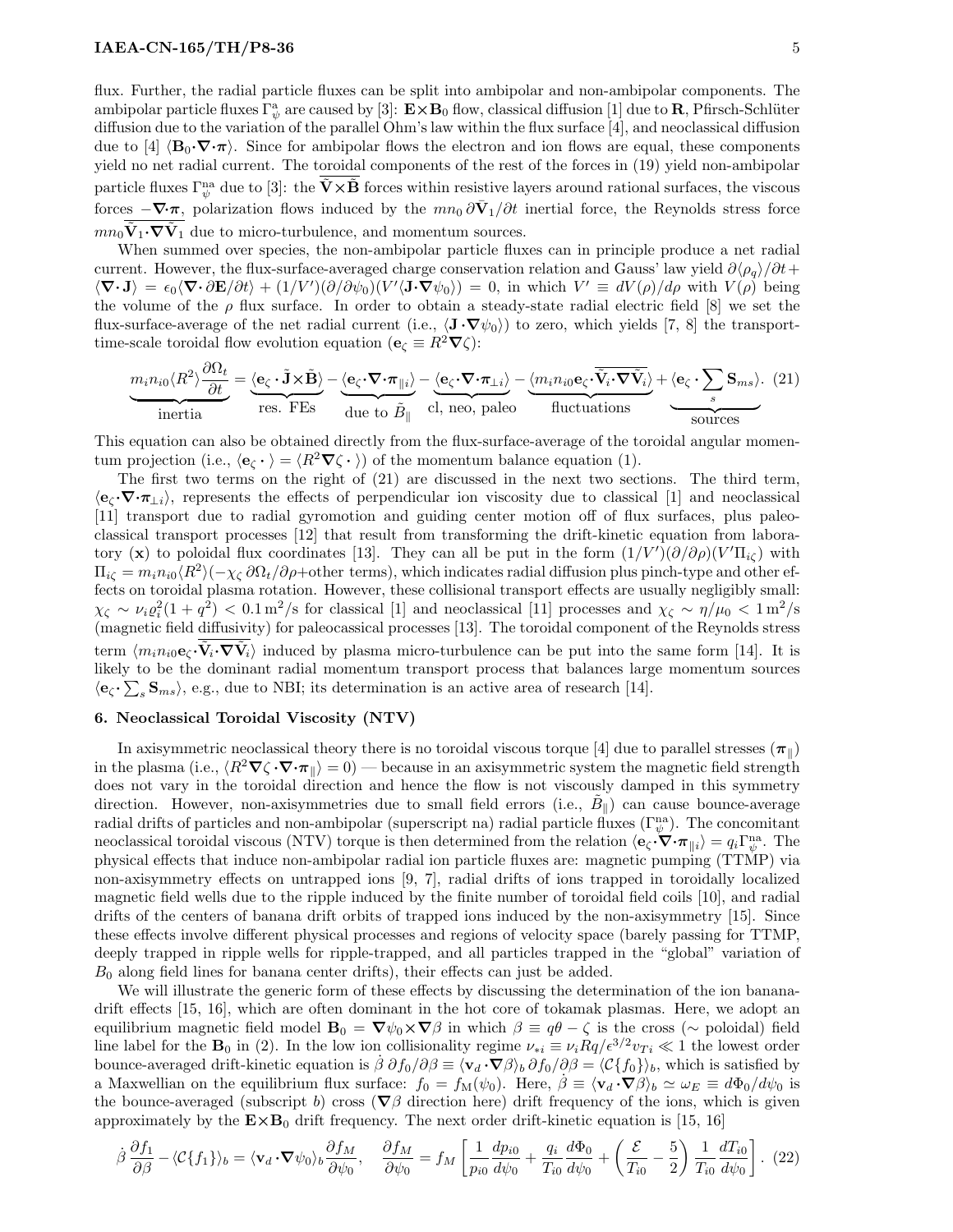flux. Further, the radial particle fluxes can be split into ambipolar and non-ambipolar components. The ambipolar particle fluxes  $\Gamma^a_{\psi}$  are caused by [3]:  $\mathbf{E} \times \mathbf{B}_0$  flow, classical diffusion [1] due to **R**, Pfirsch-Schlüter diffusion due to the variation of the parallel Ohm's law within the flux surface [4], and neoclassical diffusion due to [4]  $\langle B_0\cdot\nabla\cdot\pi\rangle$ . Since for ambipolar flows the electron and ion flows are equal, these components yield no net radial current. The toroidal components of the rest of the forces in (19) yield non-ambipolar particle fluxes  $\Gamma_\psi^{\text{na}}$  due to [3]: the  $\tilde{\mathbf{V}} \times \tilde{\mathbf{B}}$  forces within resistive layers around rational surfaces, the viscous forces  $-\nabla \cdot \pi$ , polarization flows induced by the  $mn_0 \partial \bar{V}_1/\partial t$  inertial force, the Reynolds stress force  $mn_0\ddot{\mathbf{V}}_1 \cdot \nabla \tilde{\mathbf{V}}_1$  due to micro-turbulence, and momentum sources.

When summed over species, the non-ambipolar particle fluxes can in principle produce a net radial current. However, the flux-surface-averaged charge conservation relation and Gauss' law yield  $\partial \langle \rho_q \rangle / \partial t$ +  $\langle \nabla \cdot \mathbf{J} \rangle = \epsilon_0 \langle \nabla \cdot \partial \mathbf{E} / \partial t \rangle + (1/V') (\partial/\partial \psi_0) (V' \langle \mathbf{J} \cdot \nabla \psi_0 \rangle) = 0$ , in which  $V' \equiv dV(\rho)/d\rho$  with  $V(\rho)$  being the volume of the  $\rho$  flux surface. In order to obtain a steady-state radial electric field [8] we set the flux-surface-average of the net radial current (i.e.,  $\langle \mathbf{J} \cdot \nabla \psi_0 \rangle$ ) to zero, which yields [7, 8] the transporttime-scale toroidal flow evolution equation ( $\mathbf{e}_{\zeta} \equiv R^2 \nabla \zeta$ ):

$$
\underbrace{m_i n_{i0} \langle R^2 \rangle \frac{\partial \Omega_t}{\partial t}}_{\text{inertia}} = \underbrace{\langle e_{\zeta} \cdot \tilde{\mathbf{J}} \times \tilde{\mathbf{B}} \rangle}_{\text{res. FEs}} - \underbrace{\langle e_{\zeta} \cdot \nabla \cdot \pi_{\parallel i} \rangle}_{\text{due to } \tilde{B}_{\parallel}} - \underbrace{\langle e_{\zeta} \cdot \nabla \cdot \pi_{\perp i} \rangle}_{\text{cl, neo, paleo}} - \underbrace{\langle m_i n_{i0} e_{\zeta} \cdot \tilde{V}_i \cdot \nabla \tilde{V}_i \rangle}_{\text{fluctuations}} + \underbrace{\langle e_{\zeta} \cdot \sum_s \mathbf{S}_{ms} \rangle. (21)}
$$

This equation can also be obtained directly from the flux-surface-average of the toroidal angular momentum projection (i.e.,  $\langle \mathbf{e}_{\zeta} \cdot \rangle = \langle R^2 \nabla \zeta \cdot \rangle$ ) of the momentum balance equation (1).

The first two terms on the right of (21) are discussed in the next two sections. The third term,  $\langle e_{\zeta} \cdot \nabla \cdot \pi_{\perp i} \rangle$ , represents the effects of perpendicular ion viscosity due to classical [1] and neoclassical [11] transport due to radial gyromotion and guiding center motion off of flux surfaces, plus paleoclassical transport processes [12] that result from transforming the drift-kinetic equation from laboratory (x) to poloidal flux coordinates [13]. They can all be put in the form  $(1/V')(\partial/\partial \rho)(V'\Pi_{i\zeta})$  with  $\Pi_{i\zeta} = m_i n_{i0} \langle R^2 \rangle (-\chi_{\zeta} \partial \Omega_t / \partial \rho + \text{other terms}),$  which indicates radial diffusion plus pinch-type and other effects on toroidal plasma rotation. However, these collisional transport effects are usually negligibly small:  $\chi_{\zeta} \sim \nu_i \varrho_i^2 (1+q^2) < 0.1 \,\mathrm{m}^2/\mathrm{s}$  for classical [1] and neoclassical [11] processes and  $\chi_{\zeta} \sim \eta/\mu_0 < 1 \,\mathrm{m}^2/\mathrm{s}$ (magnetic field diffusivity) for paleocassical processes [13]. The toroidal component of the Reynolds stress term  $\langle m_i n_{i0} e_c \cdot \tilde{V}_i \cdot \nabla \tilde{V}_i \rangle$  induced by plasma micro-turbulence can be put into the same form [14]. It is likely to be the dominant radial momentum transport process that balances large momentum sources  $\langle \mathbf{e}_{\zeta} \cdot \sum_s \mathbf{S}_{ms} \rangle$ , e.g., due to NBI; its determination is an active area of research [14].

### 6. Neoclassical Toroidal Viscosity (NTV)

In axisymmetric neoclassical theory there is no toroidal viscous torque [4] due to parallel stresses  $(\pi_{\parallel})$ in the plasma (i.e.,  $\langle R^2 \nabla \zeta \cdot \nabla \cdot \pi_{\parallel} \rangle = 0$ ) — because in an axisymmetric system the magnetic field strength does not vary in the toroidal direction and hence the flow is not viscously damped in this symmetry direction. However, non-axisymmetries due to small field errors (i.e.,  $\tilde{B}_{\parallel}$ ) can cause bounce-average radial drifts of particles and non-ambipolar (superscript na) radial particle fluxes  $(\Gamma_\psi^{\text{na}})$ . The concomitant neoclassical toroidal viscous (NTV) torque is then determined from the relation  $\langle \mathbf{e}_{\zeta} \cdot \nabla \cdot \pi_{\parallel i} \rangle = q_i \Gamma_{\psi}^{\text{na}}$ . The physical effects that induce non-ambipolar radial ion particle fluxes are: magnetic pumping (TTMP) via non-axisymmetry effects on untrapped ions [9, 7], radial drifts of ions trapped in toroidally localized magnetic field wells due to the ripple induced by the finite number of toroidal field coils [10], and radial drifts of the centers of banana drift orbits of trapped ions induced by the non-axisymmetry [15]. Since these effects involve different physical processes and regions of velocity space (barely passing for TTMP, deeply trapped in ripple wells for ripple-trapped, and all particles trapped in the "global" variation of  $B_0$  along field lines for banana center drifts), their effects can just be added.

We will illustrate the generic form of these effects by discussing the determination of the ion bananadrift effects [15, 16], which are often dominant in the hot core of tokamak plasmas. Here, we adopt an equilibrium magnetic field model  $\mathbf{B}_0 = \nabla \psi_0 \times \nabla \beta$  in which  $\beta \equiv q\theta - \zeta$  is the cross (~ poloidal) field line label for the  $\mathbf{B}_0$  in (2). In the low ion collisionality regime  $\nu_{*i} \equiv \nu_i R q / \epsilon^{3/2} v_{Ti} \ll 1$  the lowest order bounce-averaged drift-kinetic equation is  $\dot{\beta} \partial f_0/\partial \beta \equiv \langle \mathbf{v}_d \cdot \nabla \beta \rangle_b \partial f_0/\partial \beta = \langle \mathcal{C}{f_0} \rangle_b$ , which is satisfied by a Maxwellian on the equilibrium flux surface:  $f_0 = f_M(\psi_0)$ . Here,  $\beta \equiv \langle \mathbf{v}_d \cdot \nabla \beta \rangle_b \simeq \omega_E \equiv d\Phi_0/d\psi_0$  is the bounce-averaged (subscript b) cross ( $\nabla \beta$  direction here) drift frequency of the ions, which is given approximately by the  $E \times B_0$  drift frequency. The next order drift-kinetic equation is [15, 16]

$$
\dot{\beta}\frac{\partial f_1}{\partial \beta} - \langle \mathcal{C}\{f_1\} \rangle_b = \langle \mathbf{v}_d \cdot \nabla \psi_0 \rangle_b \frac{\partial f_M}{\partial \psi_0}, \quad \frac{\partial f_M}{\partial \psi_0} = f_M \left[ \frac{1}{p_{i0}} \frac{dp_{i0}}{d\psi_0} + \frac{q_i}{T_{i0}} \frac{d\Phi_0}{d\psi_0} + \left( \frac{\mathcal{E}}{T_{i0}} - \frac{5}{2} \right) \frac{1}{T_{i0}} \frac{d T_{i0}}{d\psi_0} \right].
$$
 (22)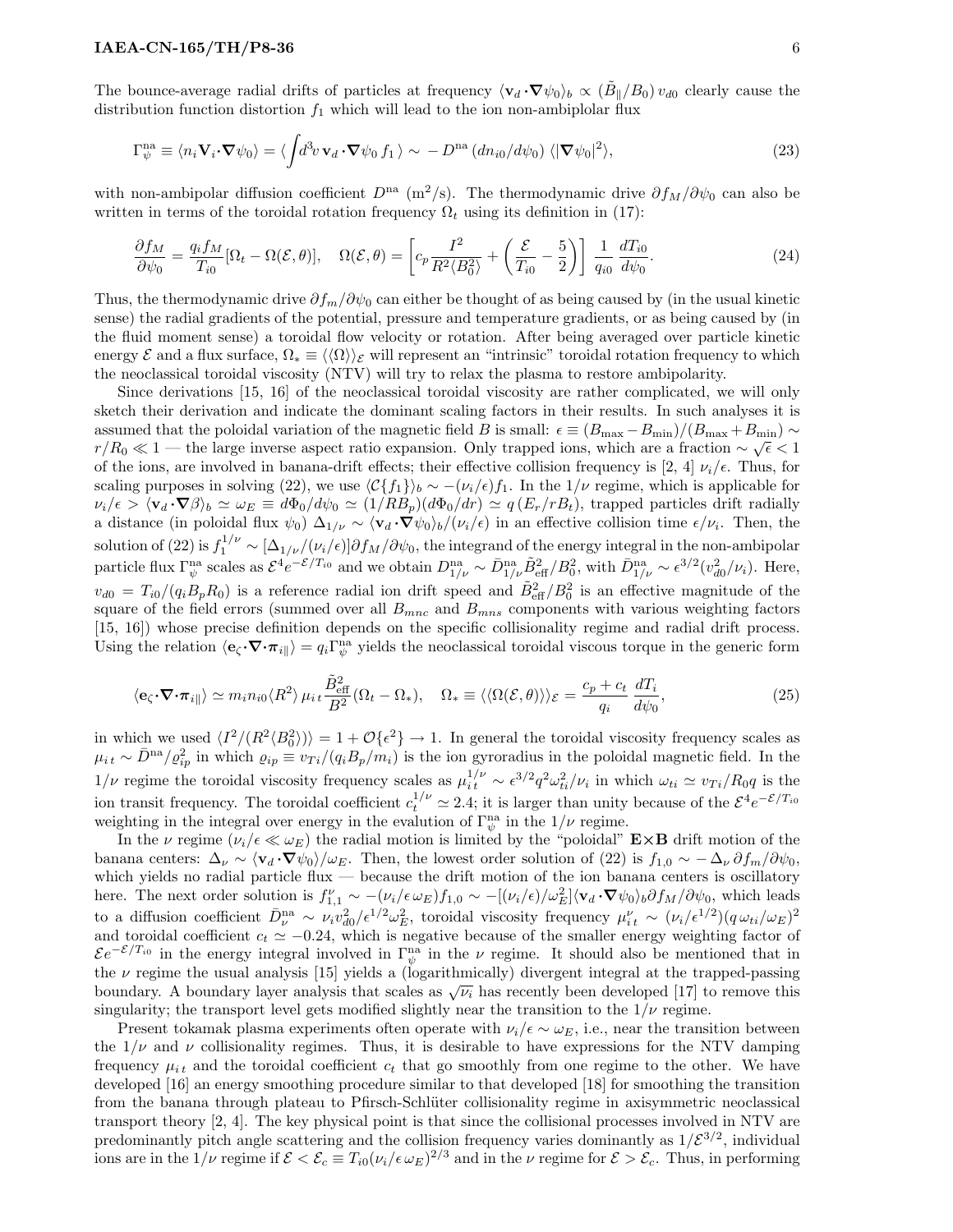The bounce-average radial drifts of particles at frequency  $\langle v_d \cdot \nabla \psi_0 \rangle_b \propto (\tilde{B}_{\parallel}/B_0) v_{d0}$  clearly cause the distribution function distortion  $f_1$  which will lead to the ion non-ambiplolar flux

$$
\Gamma_{\psi}^{\text{na}} \equiv \langle n_i \mathbf{V}_i \cdot \nabla \psi_0 \rangle = \langle \int d^3 v \, \mathbf{v}_d \cdot \nabla \psi_0 f_1 \rangle \sim -D^{\text{na}} \left( d n_{i0} / d \psi_0 \right) \langle |\nabla \psi_0|^2 \rangle, \tag{23}
$$

with non-ambipolar diffusion coefficient  $D^{na}$  (m<sup>2</sup>/s). The thermodynamic drive  $\partial f_M/\partial \psi_0$  can also be written in terms of the toroidal rotation frequency  $\Omega_t$  using its definition in (17):

$$
\frac{\partial f_M}{\partial \psi_0} = \frac{q_i f_M}{T_{i0}} [\Omega_t - \Omega(\mathcal{E}, \theta)], \quad \Omega(\mathcal{E}, \theta) = \left[ c_p \frac{I^2}{R^2 \langle B_0^2 \rangle} + \left( \frac{\mathcal{E}}{T_{i0}} - \frac{5}{2} \right) \right] \frac{1}{q_{i0}} \frac{dT_{i0}}{d\psi_0}.
$$
\n(24)

Thus, the thermodynamic drive  $\partial f_m/\partial \psi_0$  can either be thought of as being caused by (in the usual kinetic sense) the radial gradients of the potential, pressure and temperature gradients, or as being caused by (in the fluid moment sense) a toroidal flow velocity or rotation. After being averaged over particle kinetic energy E and a flux surface,  $\Omega_* \equiv \langle \langle \Omega \rangle \rangle$  will represent an "intrinsic" toroidal rotation frequency to which the neoclassical toroidal viscosity (NTV) will try to relax the plasma to restore ambipolarity.

Since derivations [15, 16] of the neoclassical toroidal viscosity are rather complicated, we will only sketch their derivation and indicate the dominant scaling factors in their results. In such analyses it is assumed that the poloidal variation of the magnetic field B is small:  $\epsilon \equiv (B_{\text{max}} - B_{\text{min}})/(B_{\text{max}} + B_{\text{min}}) \sim$  $r/R_0 \ll 1$  — the large inverse aspect ratio expansion. Only trapped ions, which are a fraction  $\sim \sqrt{\epsilon} < 1$ of the ions, are involved in banana-drift effects; their effective collision frequency is [2, 4]  $\nu_i/\epsilon$ . Thus, for scaling purposes in solving (22), we use  $\langle \mathcal{C}{f_1}\rangle_b \sim -(\nu_i/\epsilon)f_1$ . In the  $1/\nu$  regime, which is applicable for  $\nu_i/\epsilon > \langle \mathbf{v}_d \cdot \nabla \beta \rangle_b \simeq \omega_E \equiv d\Phi_0/d\psi_0 \simeq (1/RB_p)(d\Phi_0/dr) \simeq q(E_r/rB_t)$ , trapped particles drift radially a distance (in poloidal flux  $\psi_0$ )  $\Delta_{1/\nu} \sim \langle \mathbf{v}_d \cdot \nabla \psi_0 \rangle_b / (\nu_i / \epsilon)$  in an effective collision time  $\epsilon/\nu_i$ . Then, the solution of (22) is  $f_1^{1/\nu} \sim [\Delta_{1/\nu}/(\nu_i/\epsilon)] \partial f_M/\partial \psi_0$ , the integrand of the energy integral in the non-ambipolar particle flux  $\Gamma_{\psi}^{\text{na}}$  scales as  $\mathcal{E}^{4}e^{-\mathcal{E}/T_{i0}}$  and we obtain  $D_{1/\nu}^{\text{na}} \sim \bar{D}_{1/\nu}^{\text{na}} \tilde{B}_{\text{eff}}^{2}/B_{0}^{2}$ , with  $\bar{D}_{1/\nu}^{\text{na}} \sim \epsilon^{3/2}(v_{d0}^{2}/\nu_{i})$ . Here,  $v_{d0} = T_{i0}/(q_i B_p R_0)$  is a reference radial ion drift speed and  $\tilde{B}_{\text{eff}}^2/B_0^2$  is an effective magnitude of the square of the field errors (summed over all  $B_{mnc}$  and  $B_{mns}$  components with various weighting factors [15, 16]) whose precise definition depends on the specific collisionality regime and radial drift process. Using the relation  $\langle \mathbf{e}_{\zeta} \cdot \nabla \cdot \pi_{i\parallel} \rangle = q_i \Gamma_{\psi}^{\text{na}}$  yields the neoclassical toroidal viscous torque in the generic form

$$
\langle \mathbf{e}_{\zeta} \cdot \nabla \cdot \pi_{i} \rangle \simeq m_{i} n_{i0} \langle R^{2} \rangle \mu_{i} t \frac{\tilde{B}_{\text{eff}}^{2}}{B^{2}} (\Omega_{t} - \Omega_{*}), \quad \Omega_{*} \equiv \langle \langle \Omega(\mathcal{E}, \theta) \rangle \rangle_{\mathcal{E}} = \frac{c_{p} + c_{t}}{q_{i}} \frac{dT_{i}}{d\psi_{0}}, \tag{25}
$$

in which we used  $\langle I^2/(R^2 \langle B_0^2 \rangle) \rangle = 1 + \mathcal{O}\lbrace \epsilon^2 \rbrace \rightarrow 1$ . In general the toroidal viscosity frequency scales as  $\mu_{i t} \sim \bar{D}^{n a}/\varrho_{i p}^2$  in which  $\varrho_{i p} \equiv v_{T i}/(q_i B_p/m_i)$  is the ion gyroradius in the poloidal magnetic field. In the  $1/\nu$  regime the toroidal viscosity frequency scales as  $\mu_i^{1/\nu} \sim \epsilon^{3/2} q^2 \omega_{ti}^2/\nu_i$  in which  $\omega_{ti} \simeq v_{Ti}/R_0 q$  is the ion transit frequency. The toroidal coefficient  $c_t^{1/\nu} \simeq 2.4$ ; it is larger than unity because of the  $\mathcal{E}^4 e^{-\mathcal{E}/T_{i0}}$ weighting in the integral over energy in the evalution of  $\Gamma_{\psi}^{\text{na}}$  in the  $1/\nu$  regime.

In the  $\nu$  regime  $(\nu_i/\epsilon \ll \omega_E)$  the radial motion is limited by the "poloidal"  $\mathbf{E} \times \mathbf{B}$  drift motion of the banana centers:  $\Delta_{\nu} \sim \langle \mathbf{v}_d \cdot \nabla \psi_0 \rangle / \omega_E$ . Then, the lowest order solution of (22) is  $f_{1,0} \sim -\Delta_{\nu} \partial f_m / \partial \psi_0$ , which yields no radial particle flux — because the drift motion of the ion banana centers is oscillatory here. The next order solution is  $f_{1,1}^{\nu} \sim -(\nu_i/\epsilon \omega_E) f_{1,0} \sim -[(\nu_i/\epsilon)/\omega_E^2] \langle \mathbf{v}_d \cdot \nabla \psi_0 \rangle_b \partial f_M / \partial \psi_0$ , which leads to a diffusion coefficient  $\bar{D}_{\nu}^{\text{na}} \sim \nu_i v_{d0}^2 / \epsilon^{1/2} \omega_E^2$ , toroidal viscosity frequency  $\mu_{it}^{\nu} \sim (\nu_i / \epsilon^{1/2}) (q \omega_{ti}/\omega_E)^2$ and toroidal coefficient  $c_t \simeq -0.24$ , which is negative because of the smaller energy weighting factor of  $\mathcal{E}e^{-\mathcal{E}/T_{i0}}$  in the energy integral involved in  $\Gamma_{\psi}^{na}$  in the  $\nu$  regime. It should also be mentioned that in the  $\nu$  regime the usual analysis [15] yields a (logarithmically) divergent integral at the trapped-passing boundary. A boundary layer analysis that scales as  $\sqrt{\nu_i}$  has recently been developed [17] to remove this boundary. A boundary layer analysis that scales as  $\sqrt{\nu_i}$  has recently been developed [17] to remove this singularity; the transport level gets modified slightly near the transition to the  $1/\nu$  regime.

Present tokamak plasma experiments often operate with  $\nu_i/\epsilon \sim \omega_E$ , i.e., near the transition between the  $1/\nu$  and  $\nu$  collisionality regimes. Thus, it is desirable to have expressions for the NTV damping frequency  $\mu_{it}$  and the toroidal coefficient  $c_t$  that go smoothly from one regime to the other. We have developed [16] an energy smoothing procedure similar to that developed [18] for smoothing the transition from the banana through plateau to Pfirsch-Schlüter collisionality regime in axisymmetric neoclassical transport theory [2, 4]. The key physical point is that since the collisional processes involved in NTV are predominantly pitch angle scattering and the collision frequency varies dominantly as  $1/\mathcal{E}^{3/2}$ , individual ions are in the  $1/\nu$  regime if  $\mathcal{E} < \mathcal{E}_c \equiv T_{i0}(\nu_i/\epsilon \,\omega_E)^{2/3}$  and in the  $\nu$  regime for  $\mathcal{E} > \mathcal{E}_c$ . Thus, in performing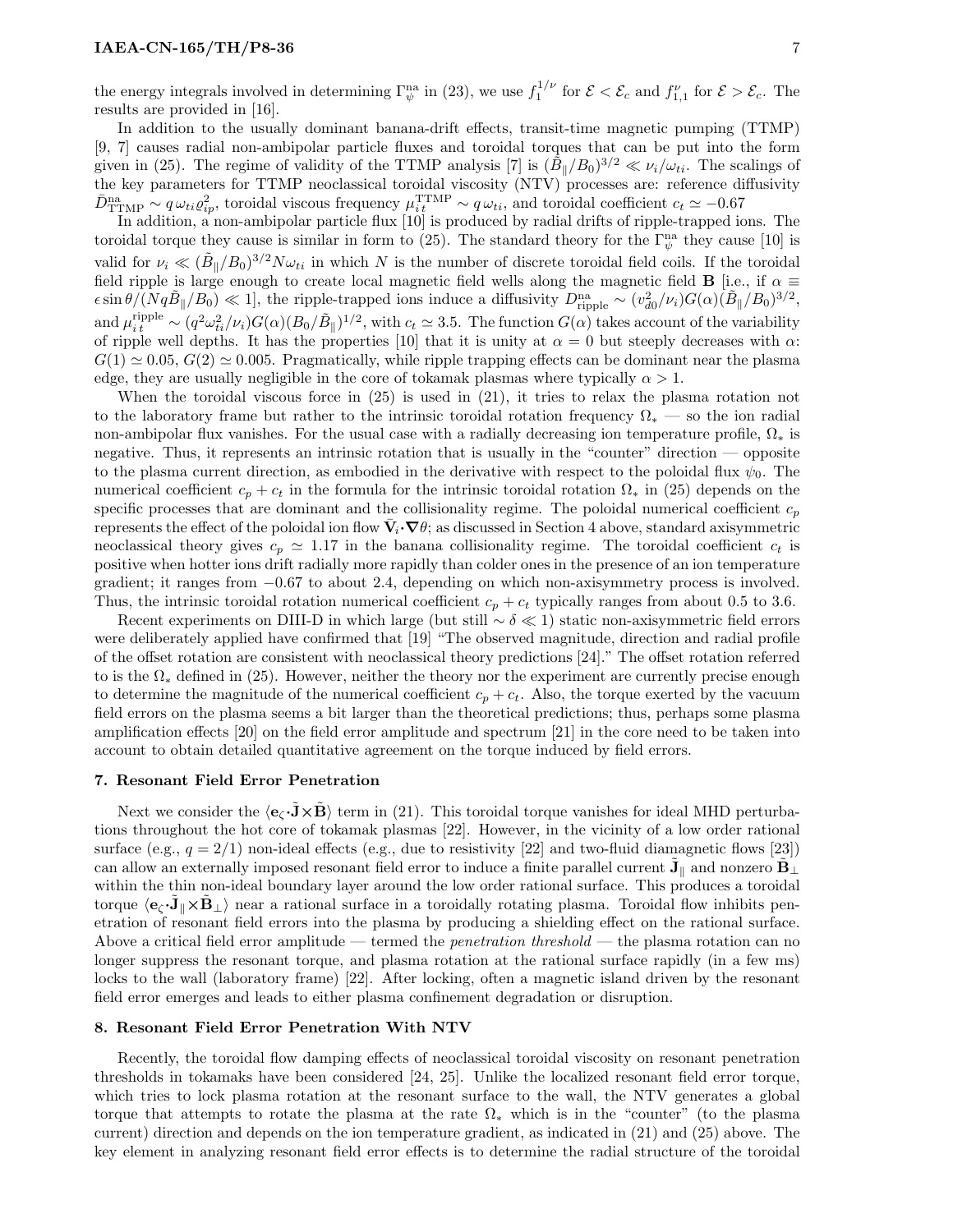the energy integrals involved in determining  $\Gamma_{\psi}^{\text{na}}$  in (23), we use  $f_1^{1/\nu}$  for  $\mathcal{E} < \mathcal{E}_c$  and  $f_{1,1}^{\nu}$  for  $\mathcal{E} > \mathcal{E}_c$ . The results are provided in [16].

In addition to the usually dominant banana-drift effects, transit-time magnetic pumping (TTMP) [9, 7] causes radial non-ambipolar particle fluxes and toroidal torques that can be put into the form given in (25). The regime of validity of the TTMP analysis [7] is  $({\tilde{B}_{\parallel}/B_0})^{3/2} \ll \nu_i/\omega_{ti}$ . The scalings of the key parameters for TTMP neoclassical toroidal viscosity (NTV) processes are: reference diffusivity  $\bar{D}_{\text{TTMP}}^{\text{na}} \sim q \omega_{ti} \varrho_{ip}^2$ , toroidal viscous frequency  $\mu_{it}^{\text{TTMP}} \sim q \omega_{ti}$ , and toroidal coefficient  $c_t \simeq -0.67$ 

In addition, a non-ambipolar particle flux [10] is produced by radial drifts of ripple-trapped ions. The toroidal torque they cause is similar in form to (25). The standard theory for the  $\Gamma_{\psi}^{na}$  they cause [10] is valid for  $\nu_i \ll (\tilde{B}_{\parallel}/B_0)^{3/2}N\omega_{ti}$  in which N is the number of discrete toroidal field coils. If the toroidal field ripple is large enough to create local magnetic field wells along the magnetic field **B** [i.e., if  $\alpha \equiv$  $\epsilon \sin \theta / (Nq\tilde{B}_{\parallel}/B_0) \ll 1$ , the ripple-trapped ions induce a diffusivity  $D_{\text{riiple}}^{\text{na}} \sim (v_{d0}^2/\nu_i) G(\alpha) (\tilde{B}_{\parallel}/B_0)^{3/2}$ , and  $\mu_{i\,t}^{\text{ripple}} \sim (q^2 \omega_{ti}^2/\nu_i) G(\alpha) (B_0/\tilde{B}_{\parallel})^{1/2}$ , with  $c_t \simeq 3.5$ . The function  $G(\alpha)$  takes account of the variability of ripple well depths. It has the properties [10] that it is unity at  $\alpha = 0$  but steeply decreases with  $\alpha$ :  $G(1) \approx 0.05, G(2) \approx 0.005$ . Pragmatically, while ripple trapping effects can be dominant near the plasma edge, they are usually negligible in the core of tokamak plasmas where typically  $\alpha > 1$ .

When the toroidal viscous force in (25) is used in (21), it tries to relax the plasma rotation not to the laboratory frame but rather to the intrinsic toroidal rotation frequency  $\Omega_*$  — so the ion radial non-ambipolar flux vanishes. For the usual case with a radially decreasing ion temperature profile,  $\Omega_*$  is negative. Thus, it represents an intrinsic rotation that is usually in the "counter" direction — opposite to the plasma current direction, as embodied in the derivative with respect to the poloidal flux  $\psi_0$ . The numerical coefficient  $c_p + c_t$  in the formula for the intrinsic toroidal rotation  $\Omega_*$  in (25) depends on the specific processes that are dominant and the collisionality regime. The poloidal numerical coefficient  $c_p$ represents the effect of the poloidal ion flow  $\bar{V}_i \cdot \nabla \theta$ ; as discussed in Section 4 above, standard axisymmetric neoclassical theory gives  $c_p \approx 1.17$  in the banana collisionality regime. The toroidal coefficient  $c_t$  is positive when hotter ions drift radially more rapidly than colder ones in the presence of an ion temperature gradient; it ranges from −0.67 to about 2.4, depending on which non-axisymmetry process is involved. Thus, the intrinsic toroidal rotation numerical coefficient  $c_p + c_t$  typically ranges from about 0.5 to 3.6.

Recent experiments on DIII-D in which large (but still  $\sim \delta \ll 1$ ) static non-axisymmetric field errors were deliberately applied have confirmed that [19] "The observed magnitude, direction and radial profile of the offset rotation are consistent with neoclassical theory predictions [24]." The offset rotation referred to is the  $\Omega_*$  defined in (25). However, neither the theory nor the experiment are currently precise enough to determine the magnitude of the numerical coefficient  $c_p + c_t$ . Also, the torque exerted by the vacuum field errors on the plasma seems a bit larger than the theoretical predictions; thus, perhaps some plasma amplification effects [20] on the field error amplitude and spectrum [21] in the core need to be taken into account to obtain detailed quantitative agreement on the torque induced by field errors.

#### 7. Resonant Field Error Penetration

Next we consider the  $\langle e_{\zeta} \cdot \mathbf{\hat{J}} \times \mathbf{\hat{B}} \rangle$  term in (21). This toroidal torque vanishes for ideal MHD perturbations throughout the hot core of tokamak plasmas [22]. However, in the vicinity of a low order rational surface (e.g.,  $q = 2/1$ ) non-ideal effects (e.g., due to resistivity [22] and two-fluid diamagnetic flows [23]) can allow an externally imposed resonant field error to induce a finite parallel current  $\tilde{\mathbf{J}}_{\parallel}$  and nonzero  $\tilde{\mathbf{B}}_{\perp}$ within the thin non-ideal boundary layer around the low order rational surface. This produces a toroidal torque  $\langle \mathbf{e}_\zeta \cdot \tilde{\mathbf{J}}_\parallel \times \tilde{\mathbf{B}}_\perp \rangle$  near a rational surface in a toroidally rotating plasma. Toroidal flow inhibits penetration of resonant field errors into the plasma by producing a shielding effect on the rational surface. Above a critical field error amplitude — termed the *penetration threshold* — the plasma rotation can no longer suppress the resonant torque, and plasma rotation at the rational surface rapidly (in a few ms) locks to the wall (laboratory frame) [22]. After locking, often a magnetic island driven by the resonant field error emerges and leads to either plasma confinement degradation or disruption.

#### 8. Resonant Field Error Penetration With NTV

Recently, the toroidal flow damping effects of neoclassical toroidal viscosity on resonant penetration thresholds in tokamaks have been considered [24, 25]. Unlike the localized resonant field error torque, which tries to lock plasma rotation at the resonant surface to the wall, the NTV generates a global torque that attempts to rotate the plasma at the rate  $\Omega_*$  which is in the "counter" (to the plasma current) direction and depends on the ion temperature gradient, as indicated in (21) and (25) above. The key element in analyzing resonant field error effects is to determine the radial structure of the toroidal